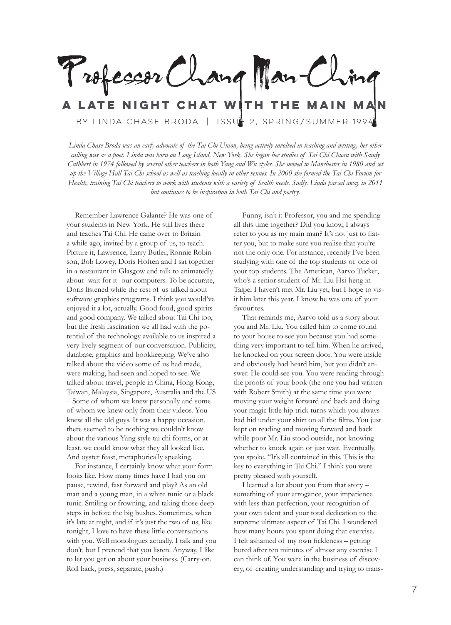Professor Chang Man-C **A late night chat with the Main Man**

by Linda Chase Broda | Issue 2, Spring/Summer 1994

*Linda Chase Broda was an early advocate of the Tai Chi Union, being actively involved in teaching and writing, her other calling was as a poet. Linda was born on Long Island, New York. She began her studies of Tai Chi Chuan with Sandy Cuthbert in 1974 followed by several other teachers in both Yang and Wu styles. She moved to Manchester in 1980 and set up the Village Hall Tai Chi school as well as teaching locally in other venues. In 2000 she formed the Tai Chi Forum for Health, training Tai Chi teachers to work with students with a variety of health needs. Sadly, Linda passed away in 2011 but continues to be inspiration in both Tai Chi and poetry.* 

Remember Lawrence Galante? He was one of your students in New York. He still lives there and teaches Tai Chi. He came over to Britain a while ago, invited by a group of us, to teach. Picture it, Lawrence, Larry Butler, Ronnie Robinson, Bob Lowey, Doris Hoften and I sat together in a restaurant in Glasgow and talk to animatedly about -wait for it -our computers. To be accurate, Doris listened while the rest of us talked about software graphics programs. I think you would've enjoyed it a lot, actually. Good food, good spirits and good company. We talked about Tai Chi too, but the fresh fascination we all had with the potential of the technology available to us inspired a very lively segment of our conversation. Publicity, database, graphics and bookkeeping. We've also talked about the video some of us had made, were making, had seen and hoped to see. We talked about travel, people in China, Hong Kong, Taiwan, Malaysia, Singapore, Australia and the US – Some of whom we knew personally and some of whom we knew only from their videos. You knew all the old guys. It was a happy occasion, there seemed to be nothing we couldn't know about the various Yang style tai chi forms, or at least, we could know what they all looked like. And oyster feast, metaphorically speaking.

For instance, I certainly know what your form looks like. How many times have I had you on pause, rewind, fast forward and play? As an old man and a young man, in a white tunic or a black tunic. Smiling or frowning, and taking those deep steps in before the big bushes. Sometimes, when it's late at night, and if it's just the two of us, like tonight, I love to have these little conversations with you. Well monologues actually. I talk and you don't, but I pretend that you listen. Anyway, I like to let you get on about your business. (Carry-on. Roll back, press, separate, push.)

Funny, isn't it Professor, you and me spending all this time together? Did you know, I always refer to you as my main man? It's not just to flatter you, but to make sure you realise that you're not the only one. For instance, recently I've been studying with one of the top students of one of your top students. The American, Aarvo Tucker, who's a senior student of Mr. Liu Hsi-heng in Taipei I haven't met Mr. Liu yet, but I hope to visit him later this year. I know he was one of your favourites.

That reminds me, Aarvo told us a story about you and Mr. Liu. You called him to come round to your house to see you because you had something very important to tell him. When he arrived, he knocked on your screen door. You were inside and obviously had heard him, but you didn't answer. He could see you. You were reading through the proofs of your book (the one you had written with Robert Smith) at the same time you were moving your weight forward and back and doing your magic little hip trick turns which you always had hid under your shirt on all the films. You just kept on reading and moving forward and back while poor Mr. Liu stood outside, not knowing whether to knock again or just wait. Eventually, you spoke. "It's all contained in this. This is the key to everything in Tai Chi." I think you were pretty pleased with yourself.

I learned a lot about you from that story – something of your arrogance, your impatience with less than perfection, your recognition of your own talent and your total dedication to the supreme ultimate aspect of Tai Chi. I wondered how many hours you spent doing that exercise. I felt ashamed of my own fickleness – getting bored after ten minutes of almost any exercise I can think of. You were in the business of discovery, of creating understanding and trying to trans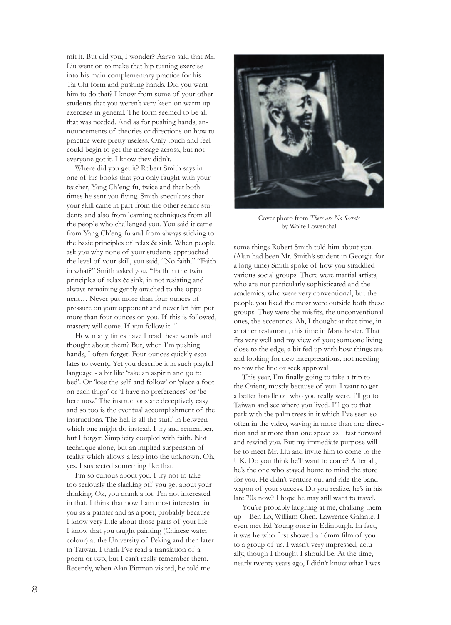mit it. But did you, I wonder? Aarvo said that Mr. Liu went on to make that hip turning exercise into his main complementary practice for his Tai Chi form and pushing hands. Did you want him to do that? I know from some of your other students that you weren't very keen on warm up exercises in general. The form seemed to be all that was needed. And as for pushing hands, announcements of theories or directions on how to practice were pretty useless. Only touch and feel could begin to get the message across, but not everyone got it. I know they didn't.

Where did you get it? Robert Smith says in one of his books that you only faught with your teacher, Yang Ch'eng-fu, twice and that both times he sent you flying. Smith speculates that your skill came in part from the other senior students and also from learning techniques from all the people who challenged you. You said it came from Yang Ch'eng-fu and from always sticking to the basic principles of relax & sink. When people ask you why none of your students approached the level of your skill, you said, "No faith." "Faith in what?" Smith asked you. "Faith in the twin principles of relax & sink, in not resisting and always remaining gently attached to the opponent… Never put more than four ounces of pressure on your opponent and never let him put more than four ounces on you. If this is followed, mastery will come. If you follow it. "

How many times have I read these words and thought about them? But, when I'm pushing hands, I often forget. Four ounces quickly escalates to twenty. Yet you describe it in such playful language - a bit like 'take an aspirin and go to bed'. Or 'lose the self and follow' or 'place a foot on each thigh' or 'I have no preferences' or 'be here now.' The instructions are deceptively easy and so too is the eventual accomplishment of the instructions. The hell is all the stuff in between which one might do instead. I try and remember, but I forget. Simplicity coupled with faith. Not technique alone, but an implied suspension of reality which allows a leap into the unknown. Oh, yes. I suspected something like that.

I'm so curious about you. I try not to take too seriously the slacking off you get about your drinking. Ok, you drank a lot. I'm not interested in that. I think that now I am most interested in you as a painter and as a poet, probably because I know very little about those parts of your life. I know that you taught painting (Chinese water colour) at the University of Peking and then later in Taiwan. I think I've read a translation of a poem or two, but I can't really remember them. Recently, when Alan Pittman visited, he told me



Cover photo from *There are No Secrets* by Wolfe Lowenthal

some things Robert Smith told him about you. (Alan had been Mr. Smith's student in Georgia for a long time) Smith spoke of how you straddled various social groups. There were martial artists, who are not particularly sophisticated and the academics, who were very conventional, but the people you liked the most were outside both these groups. They were the misfits, the unconventional ones, the eccentrics. Ah, I thought at that time, in another restaurant, this time in Manchester. That fits very well and my view of you; someone living close to the edge, a bit fed up with how things are and looking for new interpretations, not needing to tow the line or seek approval

This year, I'm finally going to take a trip to the Orient, mostly because of you. I want to get a better handle on who you really were. I'll go to Taiwan and see where you lived. I'll go to that park with the palm trees in it which I've seen so often in the video, waving in more than one direction and at more than one speed as I fast forward and rewind you. But my immediate purpose will be to meet Mr. Liu and invite him to come to the UK. Do you think he'll want to come? After all, he's the one who stayed home to mind the store for you. He didn't venture out and ride the bandwagon of your success. Do you realize, he's in his late 70s now? I hope he may still want to travel.

You're probably laughing at me, chalking them up – Ben Lo, William Chen, Lawrence Galante. I even met Ed Young once in Edinburgh. In fact, it was he who first showed a 16mm film of you to a group of us. I wasn't very impressed, actually, though I thought I should be. At the time, nearly twenty years ago, I didn't know what I was